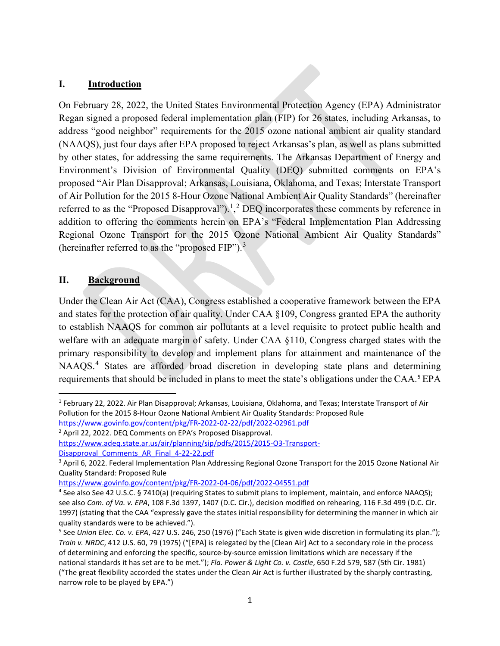#### **I. Introduction**

On February 28, 2022, the United States Environmental Protection Agency (EPA) Administrator Regan signed a proposed federal implementation plan (FIP) for 26 states, including Arkansas, to address "good neighbor" requirements for the 2015 ozone national ambient air quality standard (NAAQS), just four days after EPA proposed to reject Arkansas's plan, as well as plans submitted by other states, for addressing the same requirements. The Arkansas Department of Energy and Environment's Division of Environmental Quality (DEQ) submitted comments on EPA's proposed "Air Plan Disapproval; Arkansas, Louisiana, Oklahoma, and Texas; Interstate Transport of Air Pollution for the 2015 8-Hour Ozone National Ambient Air Quality Standards" (hereinafter referred to as the "Proposed Disapproval").<sup>[1](#page-0-0)</sup>,<sup>[2](#page-0-1)</sup> DEQ incorporates these comments by reference in addition to offering the comments herein on EPA's "Federal Implementation Plan Addressing Regional Ozone Transport for the 2015 Ozone National Ambient Air Quality Standards" (hereinafter referred to as the "proposed  $FIP$ ").<sup>[3](#page-0-2)</sup>

#### **II. Background**

Under the Clean Air Act (CAA), Congress established a cooperative framework between the EPA and states for the protection of air quality. Under CAA §109, Congress granted EPA the authority to establish NAAQS for common air pollutants at a level requisite to protect public health and welfare with an adequate margin of safety. Under CAA §110, Congress charged states with the primary responsibility to develop and implement plans for attainment and maintenance of the NAAQS<sup>[4](#page-0-3)</sup> States are afforded broad discretion in developing state plans and determining requirements that should be included in plans to meet the state's obligations under the CAA. [5](#page-0-4) EPA

<span id="page-0-0"></span><sup>&</sup>lt;sup>1</sup> February 22, 2022. Air Plan Disapproval; Arkansas, Louisiana, Oklahoma, and Texas; Interstate Transport of Air Pollution for the 2015 8-Hour Ozone National Ambient Air Quality Standards: Proposed Rule https://www.govinfo.gov/content/pkg/FR-2022-02-22/pdf/2022-02961.pdf<br><sup>2</sup> April 22, 2022. DEQ Comments on EPA's Proposed Disapproval.

<span id="page-0-1"></span>[https://www.adeq.state.ar.us/air/planning/sip/pdfs/2015/2015-O3-Transport-](https://www.adeq.state.ar.us/air/planning/sip/pdfs/2015/2015-O3-Transport-Disapproval_Comments_AR_Final_4-22-22.pdf)Disapproval Comments AR Final 4-22-22.pdf<br><sup>3</sup> April 6, 2022. Federal Implementation Plan Addressing Regional Ozone Transport for the 2015 Ozone National Air

<span id="page-0-2"></span>Quality Standard: Proposed Rule

<span id="page-0-3"></span>https://www.govinfo.gov/content/pkg/FR-2022-04-06/pdf/2022-04551.pdf<br><sup>4</sup> See also See 42 U.S.C. § 7410(a) (requiring States to submit plans to implement, maintain, and enforce NAAQS); see also *Com. of Va. v. EPA*, 108 F.3d 1397, 1407 (D.C. Cir.), decision modified on rehearing, 116 F.3d 499 (D.C. Cir. 1997) (stating that the CAA "expressly gave the states initial responsibility for determining the manner in which air quality standards were to be achieved.").

<span id="page-0-4"></span><sup>5</sup> See *Union Elec. Co. v. EPA*, 427 U.S. 246, 250 (1976) ("Each State is given wide discretion in formulating its plan."); *Train v. NRDC*, 412 U.S. 60, 79 (1975) ("[EPA] is relegated by the [Clean Air] Act to a secondary role in the process of determining and enforcing the specific, source-by-source emission limitations which are necessary if the national standards it has set are to be met."); *Fla. Power & Light Co. v. Costle*, 650 F.2d 579, 587 (5th Cir. 1981) ("The great flexibility accorded the states under the Clean Air Act is further illustrated by the sharply contrasting, narrow role to be played by EPA.")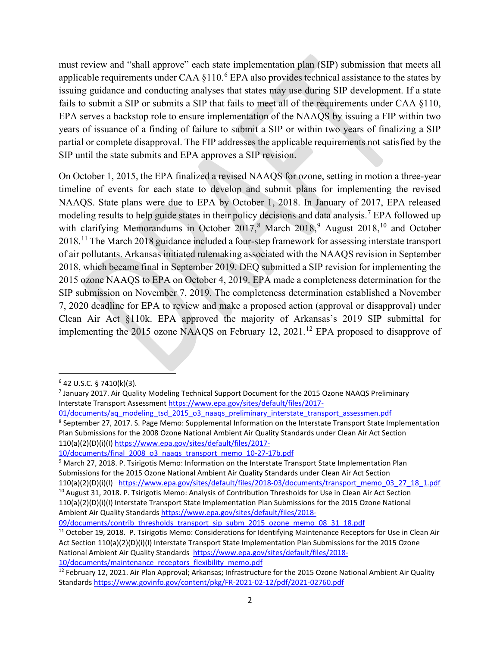must review and "shall approve" each state implementation plan (SIP) submission that meets all applicable requirements under CAA  $\S$ 110.<sup>[6](#page-1-0)</sup> EPA also provides technical assistance to the states by issuing guidance and conducting analyses that states may use during SIP development. If a state fails to submit a SIP or submits a SIP that fails to meet all of the requirements under CAA §110, EPA serves a backstop role to ensure implementation of the NAAQS by issuing a FIP within two years of issuance of a finding of failure to submit a SIP or within two years of finalizing a SIP partial or complete disapproval. The FIP addresses the applicable requirements not satisfied by the SIP until the state submits and EPA approves a SIP revision.

On October 1, 2015, the EPA finalized a revised NAAQS for ozone, setting in motion a three-year timeline of events for each state to develop and submit plans for implementing the revised NAAQS. State plans were due to EPA by October 1, 2018. In January of 2017, EPA released modeling results to help guide states in their policy decisions and data analysis.<sup>[7](#page-1-1)</sup> EPA followed up with clarifying Memorandums in October  $2017<sup>8</sup>$  $2017<sup>8</sup>$  $2017<sup>8</sup>$  March  $2018<sup>9</sup>$  $2018<sup>9</sup>$  $2018<sup>9</sup>$  August  $2018<sup>10</sup>$  $2018<sup>10</sup>$  $2018<sup>10</sup>$  and October 2018.[11](#page-1-5) The March 2018 guidance included a four-step framework for assessing interstate transport of air pollutants. Arkansas initiated rulemaking associated with the NAAQS revision in September 2018, which became final in September 2019. DEQ submitted a SIP revision for implementing the 2015 ozone NAAQS to EPA on October 4, 2019. EPA made a completeness determination for the SIP submission on November 7, 2019. The completeness determination established a November 7, 2020 deadline for EPA to review and make a proposed action (approval or disapproval) under Clean Air Act §110k. EPA approved the majority of Arkansas's 2019 SIP submittal for implementing the 2015 ozone NAAQS on February [12](#page-1-6), 2021.<sup>12</sup> EPA proposed to disapprove of

<span id="page-1-0"></span> $6$  42 U.S.C. § 7410(k)(3).

<span id="page-1-1"></span><sup>7</sup> January 2017. Air Quality Modeling Technical Support Document for the 2015 Ozone NAAQS Preliminary Interstate Transport Assessmen[t https://www.epa.gov/sites/default/files/2017-](https://www.epa.gov/sites/default/files/2017-01/documents/aq_modeling_tsd_2015_o3_naaqs_preliminary_interstate_transport_assessmen.pdf)

<sup>01/</sup>documents/aq\_modeling\_tsd\_2015\_o3\_naaqs\_preliminary\_interstate\_transport\_assessmen.pdf<br><sup>8</sup> September 27, 2017. S. Page Memo: Supplemental Information on the Interstate Transport State Implementation

<span id="page-1-2"></span>Plan Submissions for the 2008 Ozone National Ambient Air Quality Standards under Clean Air Act Section 110(a)(2)(D)(i)(I) [https://www.epa.gov/sites/default/files/2017-](https://www.epa.gov/sites/default/files/2017-10/documents/final_2008_o3_naaqs_transport_memo_10-27-17b.pdf)

<span id="page-1-3"></span><sup>10/</sup>documents/final 2008 o3 naaqs transport memo 10-27-17b.pdf 9 March 27, 2018. P. Tsirigotis Memo: Information on the Interstate Transport State Implementation Plan Submissions for the 2015 Ozone National Ambient Air Quality Standards under Clean Air Act Section

<sup>110(</sup>a)(2)(D)(i)(I) [https://www.epa.gov/sites/default/files/2018-03/documents/transport\\_memo\\_03\\_27\\_18\\_1.pdf](https://www.epa.gov/sites/default/files/2018-03/documents/transport_memo_03_27_18_1.pdf) 10 August 31, 2018. P. Tsirigotis Memo: Analysis of Contribution Thresholds for Use in Clean Air Act Section

<span id="page-1-4"></span><sup>110(</sup>a)(2)(D)(i)(I) Interstate Transport State Implementation Plan Submissions for the 2015 Ozone National Ambient Air Quality Standards [https://www.epa.gov/sites/default/files/2018-](https://www.epa.gov/sites/default/files/2018-09/documents/contrib_thresholds_transport_sip_subm_2015_ozone_memo_08_31_18.pdf)

<span id="page-1-5"></span><sup>09/</sup>documents/contrib\_thresholds\_transport\_sip\_subm\_2015\_ozone\_memo\_08\_31\_18.pdf<br><sup>11</sup> October 19, 2018. P. Tsirigotis Memo: Considerations for Identifying Maintenance Receptors for Use in Clean Air Act Section 110(a)(2)(D)(i)(I) Interstate Transport State Implementation Plan Submissions for the 2015 Ozone National Ambient Air Quality Standards [https://www.epa.gov/sites/default/files/2018-](https://www.epa.gov/sites/default/files/2018-10/documents/maintenance_receptors_flexibility_memo.pdf) 10/documents/maintenance receptors flexibility memo.pdf<br><sup>12</sup> February 12, 2021. Air Plan Approval; Arkansas; Infrastructure for the 2015 Ozone National Ambient Air Quality

<span id="page-1-6"></span>Standards<https://www.govinfo.gov/content/pkg/FR-2021-02-12/pdf/2021-02760.pdf>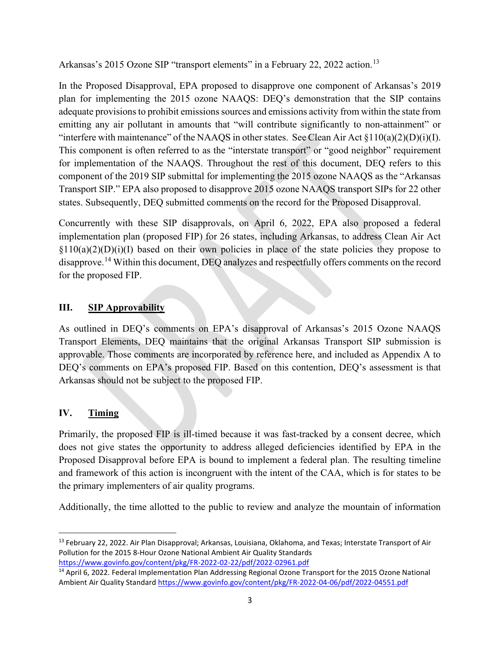Arkansas's 2015 Ozone SIP "transport elements" in a February 22, 2022 action.<sup>[13](#page-2-0)</sup>

In the Proposed Disapproval, EPA proposed to disapprove one component of Arkansas's 2019 plan for implementing the 2015 ozone NAAQS: DEQ's demonstration that the SIP contains adequate provisions to prohibit emissions sources and emissions activity from within the state from emitting any air pollutant in amounts that "will contribute significantly to non-attainment" or "interfere with maintenance" of the NAAQS in other states. See Clean Air Act  $\frac{10(a)(2)(D)(i)}{I}$ . This component is often referred to as the "interstate transport" or "good neighbor" requirement for implementation of the NAAQS. Throughout the rest of this document, DEQ refers to this component of the 2019 SIP submittal for implementing the 2015 ozone NAAQS as the "Arkansas Transport SIP." EPA also proposed to disapprove 2015 ozone NAAQS transport SIPs for 22 other states. Subsequently, DEQ submitted comments on the record for the Proposed Disapproval.

Concurrently with these SIP disapprovals, on April 6, 2022, EPA also proposed a federal implementation plan (proposed FIP) for 26 states, including Arkansas, to address Clean Air Act  $\S110(a)(2)(D)(i)(I)$  based on their own policies in place of the state policies they propose to disapprove.<sup>[14](#page-2-1)</sup> Within this document, DEQ analyzes and respectfully offers comments on the record for the proposed FIP.

### **III. SIP Approvability**

As outlined in DEQ's comments on EPA's disapproval of Arkansas's 2015 Ozone NAAQS Transport Elements, DEQ maintains that the original Arkansas Transport SIP submission is approvable. Those comments are incorporated by reference here, and included as Appendix A to DEQ's comments on EPA's proposed FIP. Based on this contention, DEQ's assessment is that Arkansas should not be subject to the proposed FIP.

### **IV. Timing**

Primarily, the proposed FIP is ill-timed because it was fast-tracked by a consent decree, which does not give states the opportunity to address alleged deficiencies identified by EPA in the Proposed Disapproval before EPA is bound to implement a federal plan. The resulting timeline and framework of this action is incongruent with the intent of the CAA, which is for states to be the primary implementers of air quality programs.

Additionally, the time allotted to the public to review and analyze the mountain of information

<span id="page-2-0"></span><sup>&</sup>lt;sup>13</sup> February 22, 2022. Air Plan Disapproval; Arkansas, Louisiana, Oklahoma, and Texas; Interstate Transport of Air Pollution for the 2015 8-Hour Ozone National Ambient Air Quality Standards

<span id="page-2-1"></span>https://www.govinfo.gov/content/pkg/FR-2022-02-22/pdf/2022-02961.pdf<br><sup>14</sup> April 6, 2022. Federal Implementation Plan Addressing Regional Ozone Transport for the 2015 Ozone National Ambient Air Quality Standar[d https://www.govinfo.gov/content/pkg/FR-2022-04-06/pdf/2022-04551.pdf](https://www.govinfo.gov/content/pkg/FR-2022-04-06/pdf/2022-04551.pdf)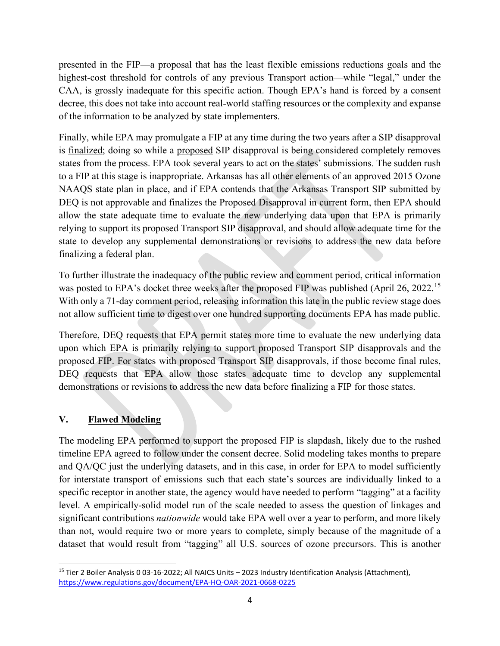presented in the FIP—a proposal that has the least flexible emissions reductions goals and the highest-cost threshold for controls of any previous Transport action—while "legal," under the CAA, is grossly inadequate for this specific action. Though EPA's hand is forced by a consent decree, this does not take into account real-world staffing resources or the complexity and expanse of the information to be analyzed by state implementers.

Finally, while EPA may promulgate a FIP at any time during the two years after a SIP disapproval is finalized; doing so while a proposed SIP disapproval is being considered completely removes states from the process. EPA took several years to act on the states' submissions. The sudden rush to a FIP at this stage is inappropriate. Arkansas has all other elements of an approved 2015 Ozone NAAQS state plan in place, and if EPA contends that the Arkansas Transport SIP submitted by DEQ is not approvable and finalizes the Proposed Disapproval in current form, then EPA should allow the state adequate time to evaluate the new underlying data upon that EPA is primarily relying to support its proposed Transport SIP disapproval, and should allow adequate time for the state to develop any supplemental demonstrations or revisions to address the new data before finalizing a federal plan.

To further illustrate the inadequacy of the public review and comment period, critical information was posted to EPA's docket three weeks after the proposed FIP was published (April 26, 2022.<sup>[15](#page-3-0)</sup>) With only a 71-day comment period, releasing information this late in the public review stage does not allow sufficient time to digest over one hundred supporting documents EPA has made public.

Therefore, DEQ requests that EPA permit states more time to evaluate the new underlying data upon which EPA is primarily relying to support proposed Transport SIP disapprovals and the proposed FIP. For states with proposed Transport SIP disapprovals, if those become final rules, DEQ requests that EPA allow those states adequate time to develop any supplemental demonstrations or revisions to address the new data before finalizing a FIP for those states.

# **V. Flawed Modeling**

The modeling EPA performed to support the proposed FIP is slapdash, likely due to the rushed timeline EPA agreed to follow under the consent decree. Solid modeling takes months to prepare and QA/QC just the underlying datasets, and in this case, in order for EPA to model sufficiently for interstate transport of emissions such that each state's sources are individually linked to a specific receptor in another state, the agency would have needed to perform "tagging" at a facility level. A empirically-solid model run of the scale needed to assess the question of linkages and significant contributions *nationwide* would take EPA well over a year to perform, and more likely than not, would require two or more years to complete, simply because of the magnitude of a dataset that would result from "tagging" all U.S. sources of ozone precursors. This is another

<span id="page-3-0"></span><sup>15</sup> Tier 2 Boiler Analysis 0 03-16-2022; All NAICS Units – 2023 Industry Identification Analysis (Attachment), <https://www.regulations.gov/document/EPA-HQ-OAR-2021-0668-0225>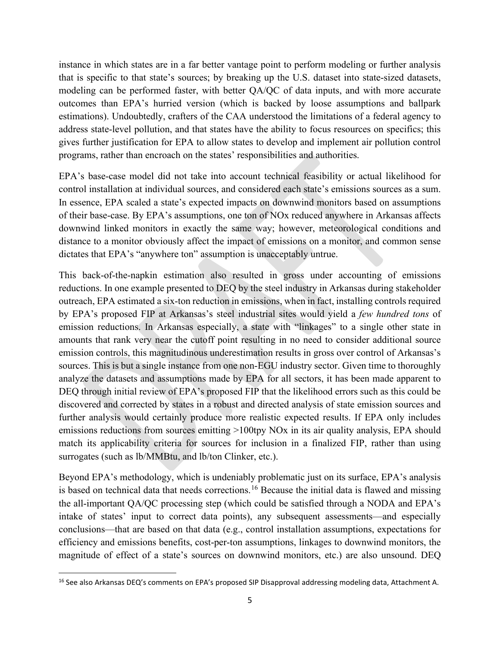instance in which states are in a far better vantage point to perform modeling or further analysis that is specific to that state's sources; by breaking up the U.S. dataset into state-sized datasets, modeling can be performed faster, with better QA/QC of data inputs, and with more accurate outcomes than EPA's hurried version (which is backed by loose assumptions and ballpark estimations). Undoubtedly, crafters of the CAA understood the limitations of a federal agency to address state-level pollution, and that states have the ability to focus resources on specifics; this gives further justification for EPA to allow states to develop and implement air pollution control programs, rather than encroach on the states' responsibilities and authorities.

EPA's base-case model did not take into account technical feasibility or actual likelihood for control installation at individual sources, and considered each state's emissions sources as a sum. In essence, EPA scaled a state's expected impacts on downwind monitors based on assumptions of their base-case. By EPA's assumptions, one ton of NOx reduced anywhere in Arkansas affects downwind linked monitors in exactly the same way; however, meteorological conditions and distance to a monitor obviously affect the impact of emissions on a monitor, and common sense dictates that EPA's "anywhere ton" assumption is unacceptably untrue.

This back-of-the-napkin estimation also resulted in gross under accounting of emissions reductions. In one example presented to DEQ by the steel industry in Arkansas during stakeholder outreach, EPA estimated a six-ton reduction in emissions, when in fact, installing controls required by EPA's proposed FIP at Arkansas's steel industrial sites would yield a *few hundred tons* of emission reductions. In Arkansas especially, a state with "linkages" to a single other state in amounts that rank very near the cutoff point resulting in no need to consider additional source emission controls, this magnitudinous underestimation results in gross over control of Arkansas's sources. This is but a single instance from one non-EGU industry sector. Given time to thoroughly analyze the datasets and assumptions made by EPA for all sectors, it has been made apparent to DEQ through initial review of EPA's proposed FIP that the likelihood errors such as this could be discovered and corrected by states in a robust and directed analysis of state emission sources and further analysis would certainly produce more realistic expected results. If EPA only includes emissions reductions from sources emitting >100tpy NOx in its air quality analysis, EPA should match its applicability criteria for sources for inclusion in a finalized FIP, rather than using surrogates (such as lb/MMBtu, and lb/ton Clinker, etc.).

Beyond EPA's methodology, which is undeniably problematic just on its surface, EPA's analysis is based on technical data that needs corrections.<sup>[16](#page-4-0)</sup> Because the initial data is flawed and missing the all-important QA/QC processing step (which could be satisfied through a NODA and EPA's intake of states' input to correct data points), any subsequent assessments—and especially conclusions—that are based on that data (e.g., control installation assumptions, expectations for efficiency and emissions benefits, cost-per-ton assumptions, linkages to downwind monitors, the magnitude of effect of a state's sources on downwind monitors, etc.) are also unsound. DEQ

<span id="page-4-0"></span><sup>&</sup>lt;sup>16</sup> See also Arkansas DEQ's comments on EPA's proposed SIP Disapproval addressing modeling data, Attachment A.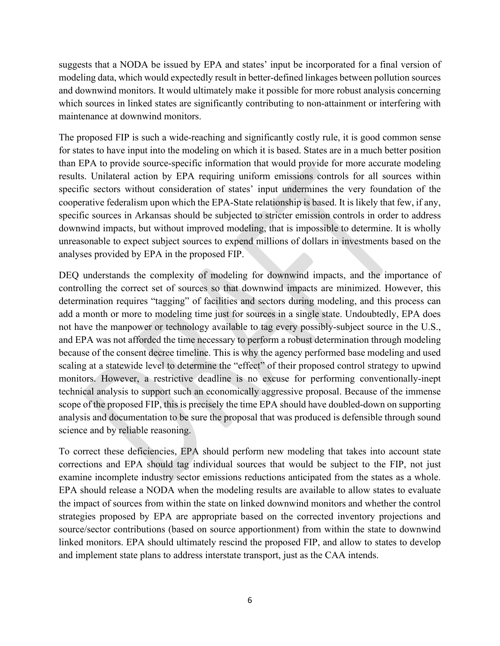suggests that a NODA be issued by EPA and states' input be incorporated for a final version of modeling data, which would expectedly result in better-defined linkages between pollution sources and downwind monitors. It would ultimately make it possible for more robust analysis concerning which sources in linked states are significantly contributing to non-attainment or interfering with maintenance at downwind monitors.

The proposed FIP is such a wide-reaching and significantly costly rule, it is good common sense for states to have input into the modeling on which it is based. States are in a much better position than EPA to provide source-specific information that would provide for more accurate modeling results. Unilateral action by EPA requiring uniform emissions controls for all sources within specific sectors without consideration of states' input undermines the very foundation of the cooperative federalism upon which the EPA-State relationship is based. It is likely that few, if any, specific sources in Arkansas should be subjected to stricter emission controls in order to address downwind impacts, but without improved modeling, that is impossible to determine. It is wholly unreasonable to expect subject sources to expend millions of dollars in investments based on the analyses provided by EPA in the proposed FIP.

DEQ understands the complexity of modeling for downwind impacts, and the importance of controlling the correct set of sources so that downwind impacts are minimized. However, this determination requires "tagging" of facilities and sectors during modeling, and this process can add a month or more to modeling time just for sources in a single state. Undoubtedly, EPA does not have the manpower or technology available to tag every possibly-subject source in the U.S., and EPA was not afforded the time necessary to perform a robust determination through modeling because of the consent decree timeline. This is why the agency performed base modeling and used scaling at a statewide level to determine the "effect" of their proposed control strategy to upwind monitors. However, a restrictive deadline is no excuse for performing conventionally-inept technical analysis to support such an economically aggressive proposal. Because of the immense scope of the proposed FIP, this is precisely the time EPA should have doubled-down on supporting analysis and documentation to be sure the proposal that was produced is defensible through sound science and by reliable reasoning.

To correct these deficiencies, EPA should perform new modeling that takes into account state corrections and EPA should tag individual sources that would be subject to the FIP, not just examine incomplete industry sector emissions reductions anticipated from the states as a whole. EPA should release a NODA when the modeling results are available to allow states to evaluate the impact of sources from within the state on linked downwind monitors and whether the control strategies proposed by EPA are appropriate based on the corrected inventory projections and source/sector contributions (based on source apportionment) from within the state to downwind linked monitors. EPA should ultimately rescind the proposed FIP, and allow to states to develop and implement state plans to address interstate transport, just as the CAA intends.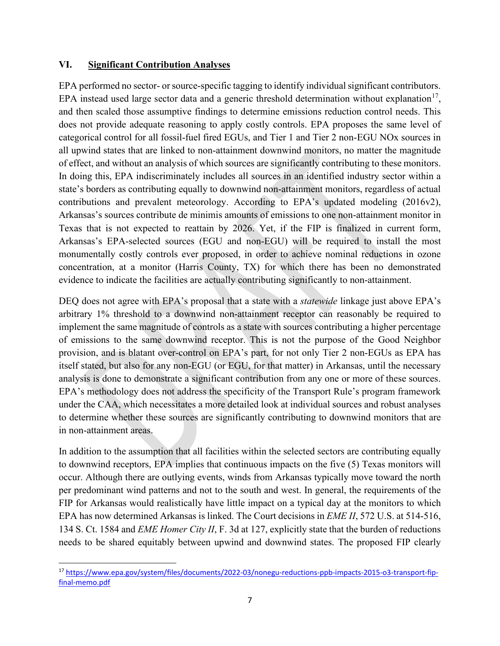#### **VI. Significant Contribution Analyses**

EPA performed no sector- or source-specific tagging to identify individual significant contributors. EPA instead used large sector data and a generic threshold determination without explanation<sup>[17](#page-6-0)</sup>, and then scaled those assumptive findings to determine emissions reduction control needs. This does not provide adequate reasoning to apply costly controls. EPA proposes the same level of categorical control for all fossil-fuel fired EGUs, and Tier 1 and Tier 2 non-EGU NOx sources in all upwind states that are linked to non-attainment downwind monitors, no matter the magnitude of effect, and without an analysis of which sources are significantly contributing to these monitors. In doing this, EPA indiscriminately includes all sources in an identified industry sector within a state's borders as contributing equally to downwind non-attainment monitors, regardless of actual contributions and prevalent meteorology. According to EPA's updated modeling (2016v2), Arkansas's sources contribute de minimis amounts of emissions to one non-attainment monitor in Texas that is not expected to reattain by 2026. Yet, if the FIP is finalized in current form, Arkansas's EPA-selected sources (EGU and non-EGU) will be required to install the most monumentally costly controls ever proposed, in order to achieve nominal reductions in ozone concentration, at a monitor (Harris County, TX) for which there has been no demonstrated evidence to indicate the facilities are actually contributing significantly to non-attainment.

DEQ does not agree with EPA's proposal that a state with a *statewide* linkage just above EPA's arbitrary 1% threshold to a downwind non-attainment receptor can reasonably be required to implement the same magnitude of controls as a state with sources contributing a higher percentage of emissions to the same downwind receptor. This is not the purpose of the Good Neighbor provision, and is blatant over-control on EPA's part, for not only Tier 2 non-EGUs as EPA has itself stated, but also for any non-EGU (or EGU, for that matter) in Arkansas, until the necessary analysis is done to demonstrate a significant contribution from any one or more of these sources. EPA's methodology does not address the specificity of the Transport Rule's program framework under the CAA, which necessitates a more detailed look at individual sources and robust analyses to determine whether these sources are significantly contributing to downwind monitors that are in non-attainment areas.

In addition to the assumption that all facilities within the selected sectors are contributing equally to downwind receptors, EPA implies that continuous impacts on the five (5) Texas monitors will occur. Although there are outlying events, winds from Arkansas typically move toward the north per predominant wind patterns and not to the south and west. In general, the requirements of the FIP for Arkansas would realistically have little impact on a typical day at the monitors to which EPA has now determined Arkansas is linked. The Court decisions in *EME II*, 572 U.S. at 514-516, 134 S. Ct. 1584 and *EME Homer City II*, F. 3d at 127, explicitly state that the burden of reductions needs to be shared equitably between upwind and downwind states. The proposed FIP clearly

<span id="page-6-0"></span><sup>17</sup> [https://www.epa.gov/system/files/documents/2022-03/nonegu-reductions-ppb-impacts-2015-o3-transport-fip](https://www.epa.gov/system/files/documents/2022-03/nonegu-reductions-ppb-impacts-2015-o3-transport-fip-final-memo.pdf)[final-memo.pdf](https://www.epa.gov/system/files/documents/2022-03/nonegu-reductions-ppb-impacts-2015-o3-transport-fip-final-memo.pdf)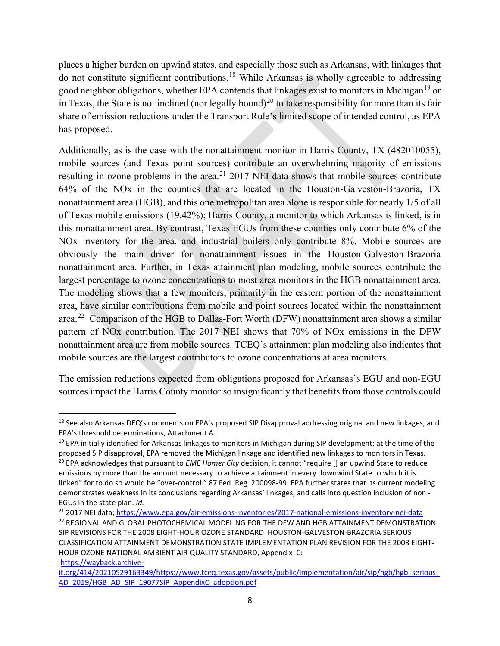places a higher burden on upwind states, and especially those such as Arkansas, with linkages that do not constitute significant contributions. [18](#page-7-0) While Arkansas is wholly agreeable to addressing good neighbor obligations, whether EPA contends that linkages exist to monitors in Michigan<sup>[19](#page-7-1)</sup> or in Texas, the State is not inclined (nor legally bound)<sup>[20](#page-7-2)</sup> to take responsibility for more than its fair share of emission reductions under the Transport Rule's limited scope of intended control, as EPA has proposed.

Additionally, as is the case with the nonattainment monitor in Harris County, TX (482010055), mobile sources (and Texas point sources) contribute an overwhelming majority of emissions resulting in ozone problems in the area.<sup>[21](#page-7-3)</sup> 2017 NEI data shows that mobile sources contribute 64% of the NOx in the counties that are located in the Houston-Galveston-Brazoria, TX nonattainment area (HGB), and this one metropolitan area alone is responsible for nearly 1/5 of all of Texas mobile emissions (19.42%); Harris County, a monitor to which Arkansas is linked, is in this nonattainment area. By contrast, Texas EGUs from these counties only contribute 6% of the NOx inventory for the area, and industrial boilers only contribute 8%. Mobile sources are obviously the main driver for nonattainment issues in the Houston-Galveston-Brazoria nonattainment area. Further, in Texas attainment plan modeling, mobile sources contribute the largest percentage to ozone concentrations to most area monitors in the HGB nonattainment area. The modeling shows that a few monitors, primarily in the eastern portion of the nonattainment area, have similar contributions from mobile and point sources located within the nonattainment area.<sup>22</sup> Comparison of the HGB to Dallas-Fort Worth (DFW) nonattainment area shows a similar pattern of NOx contribution. The 2017 NEI shows that 70% of NOx emissions in the DFW nonattainment area are from mobile sources. TCEQ's attainment plan modeling also indicates that mobile sources are the largest contributors to ozone concentrations at area monitors.

The emission reductions expected from obligations proposed for Arkansas's EGU and non-EGU sources impact the Harris County monitor so insignificantly that benefits from those controls could

<span id="page-7-4"></span>SIP REVISIONS FOR THE 2008 EIGHT-HOUR OZONE STANDARD HOUSTON-GALVESTON-BRAZORIA SERIOUS CLASSIFICATION ATTAINMENT DEMONSTRATION STATE IMPLEMENTATION PLAN REVISION FOR THE 2008 EIGHT-HOUR OZONE NATIONAL AMBIENT AIR QUALITY STANDARD, Appendix C: [https://wayback.archive-](https://wayback.archive-it.org/414/20210529163349/https:/www.tceq.texas.gov/assets/public/implementation/air/sip/hgb/hgb_serious_AD_2019/HGB_AD_SIP_19077SIP_AppendixC_adoption.pdf)

<span id="page-7-0"></span><sup>&</sup>lt;sup>18</sup> See also Arkansas DEQ's comments on EPA's proposed SIP Disapproval addressing original and new linkages, and EPA's threshold determinations, Attachment A.

<span id="page-7-2"></span><span id="page-7-1"></span> $19$  EPA initially identified for Arkansas linkages to monitors in Michigan during SIP development; at the time of the proposed SIP disapproval, EPA removed the Michigan linkage and identified new linkages to monitors in Texas. <sup>20</sup> EPA acknowledges that pursuant to *EME Homer City* decision, it cannot "require [] an upwind State to reduce emissions by more than the amount necessary to achieve attainment in every downwind State to which it is linked" for to do so would be "over-control." 87 Fed. Reg. 200098-99. EPA further states that its current modeling demonstrates weakness in its conclusions regarding Arkansas' linkages, and calls into question inclusion of non - EGUs in the state plan. *Id.*

<span id="page-7-3"></span><sup>&</sup>lt;sup>21</sup> 2017 NEI data[; https://www.epa.gov/air-emissions-inventories/2017-national-emissions-inventory-nei-data](https://www.epa.gov/air-emissions-inventories/2017-national-emissions-inventory-nei-data) 22 REGIONAL AND GLOBAL PHOTOCHEMICAL MODELING FOR THE DFW AND HGB ATTAINMENT DEMONSTRATION

it.org/414/20210529163349/https://www.tceq.texas.gov/assets/public/implementation/air/sip/hgb/hgb\_serious [AD\\_2019/HGB\\_AD\\_SIP\\_19077SIP\\_AppendixC\\_adoption.pdf](https://wayback.archive-it.org/414/20210529163349/https:/www.tceq.texas.gov/assets/public/implementation/air/sip/hgb/hgb_serious_AD_2019/HGB_AD_SIP_19077SIP_AppendixC_adoption.pdf)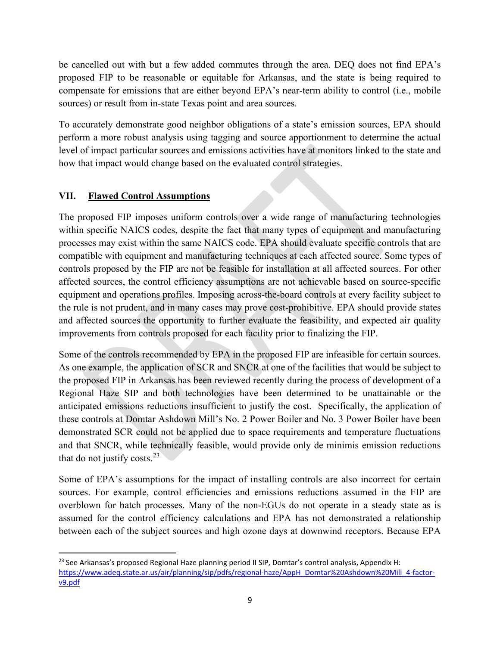be cancelled out with but a few added commutes through the area. DEQ does not find EPA's proposed FIP to be reasonable or equitable for Arkansas, and the state is being required to compensate for emissions that are either beyond EPA's near-term ability to control (i.e., mobile sources) or result from in-state Texas point and area sources.

To accurately demonstrate good neighbor obligations of a state's emission sources, EPA should perform a more robust analysis using tagging and source apportionment to determine the actual level of impact particular sources and emissions activities have at monitors linked to the state and how that impact would change based on the evaluated control strategies.

# **VII. Flawed Control Assumptions**

The proposed FIP imposes uniform controls over a wide range of manufacturing technologies within specific NAICS codes, despite the fact that many types of equipment and manufacturing processes may exist within the same NAICS code. EPA should evaluate specific controls that are compatible with equipment and manufacturing techniques at each affected source. Some types of controls proposed by the FIP are not be feasible for installation at all affected sources. For other affected sources, the control efficiency assumptions are not achievable based on source-specific equipment and operations profiles. Imposing across-the-board controls at every facility subject to the rule is not prudent, and in many cases may prove cost-prohibitive. EPA should provide states and affected sources the opportunity to further evaluate the feasibility, and expected air quality improvements from controls proposed for each facility prior to finalizing the FIP.

Some of the controls recommended by EPA in the proposed FIP are infeasible for certain sources. As one example, the application of SCR and SNCR at one of the facilities that would be subject to the proposed FIP in Arkansas has been reviewed recently during the process of development of a Regional Haze SIP and both technologies have been determined to be unattainable or the anticipated emissions reductions insufficient to justify the cost. Specifically, the application of these controls at Domtar Ashdown Mill's No. 2 Power Boiler and No. 3 Power Boiler have been demonstrated SCR could not be applied due to space requirements and temperature fluctuations and that SNCR, while technically feasible, would provide only de minimis emission reductions that do not justify costs. $^{23}$ 

Some of EPA's assumptions for the impact of installing controls are also incorrect for certain sources. For example, control efficiencies and emissions reductions assumed in the FIP are overblown for batch processes. Many of the non-EGUs do not operate in a steady state as is assumed for the control efficiency calculations and EPA has not demonstrated a relationship between each of the subject sources and high ozone days at downwind receptors. Because EPA

<span id="page-8-0"></span><sup>&</sup>lt;sup>23</sup> See Arkansas's proposed Regional Haze planning period II SIP, Domtar's control analysis, Appendix H: [https://www.adeq.state.ar.us/air/planning/sip/pdfs/regional-haze/AppH\\_Domtar%20Ashdown%20Mill\\_4-factor](https://www.adeq.state.ar.us/air/planning/sip/pdfs/regional-haze/AppH_Domtar%20Ashdown%20Mill_4-factor-v9.pdf)[v9.pdf](https://www.adeq.state.ar.us/air/planning/sip/pdfs/regional-haze/AppH_Domtar%20Ashdown%20Mill_4-factor-v9.pdf)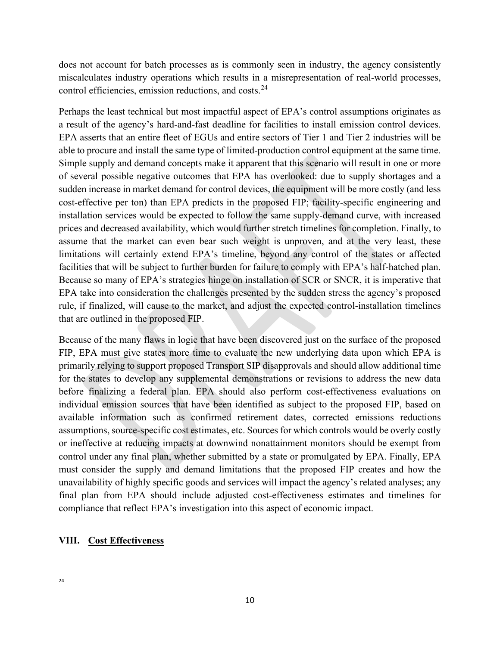does not account for batch processes as is commonly seen in industry, the agency consistently miscalculates industry operations which results in a misrepresentation of real-world processes, control efficiencies, emission reductions, and costs.<sup>24</sup>

Perhaps the least technical but most impactful aspect of EPA's control assumptions originates as a result of the agency's hard-and-fast deadline for facilities to install emission control devices. EPA asserts that an entire fleet of EGUs and entire sectors of Tier 1 and Tier 2 industries will be able to procure and install the same type of limited-production control equipment at the same time. Simple supply and demand concepts make it apparent that this scenario will result in one or more of several possible negative outcomes that EPA has overlooked: due to supply shortages and a sudden increase in market demand for control devices, the equipment will be more costly (and less cost-effective per ton) than EPA predicts in the proposed FIP; facility-specific engineering and installation services would be expected to follow the same supply-demand curve, with increased prices and decreased availability, which would further stretch timelines for completion. Finally, to assume that the market can even bear such weight is unproven, and at the very least, these limitations will certainly extend EPA's timeline, beyond any control of the states or affected facilities that will be subject to further burden for failure to comply with EPA's half-hatched plan. Because so many of EPA's strategies hinge on installation of SCR or SNCR, it is imperative that EPA take into consideration the challenges presented by the sudden stress the agency's proposed rule, if finalized, will cause to the market, and adjust the expected control-installation timelines that are outlined in the proposed FIP.

Because of the many flaws in logic that have been discovered just on the surface of the proposed FIP, EPA must give states more time to evaluate the new underlying data upon which EPA is primarily relying to support proposed Transport SIP disapprovals and should allow additional time for the states to develop any supplemental demonstrations or revisions to address the new data before finalizing a federal plan. EPA should also perform cost-effectiveness evaluations on individual emission sources that have been identified as subject to the proposed FIP, based on available information such as confirmed retirement dates, corrected emissions reductions assumptions, source-specific cost estimates, etc. Sources for which controls would be overly costly or ineffective at reducing impacts at downwind nonattainment monitors should be exempt from control under any final plan, whether submitted by a state or promulgated by EPA. Finally, EPA must consider the supply and demand limitations that the proposed FIP creates and how the unavailability of highly specific goods and services will impact the agency's related analyses; any final plan from EPA should include adjusted cost-effectiveness estimates and timelines for compliance that reflect EPA's investigation into this aspect of economic impact.

# <span id="page-9-0"></span>**VIII. Cost Effectiveness**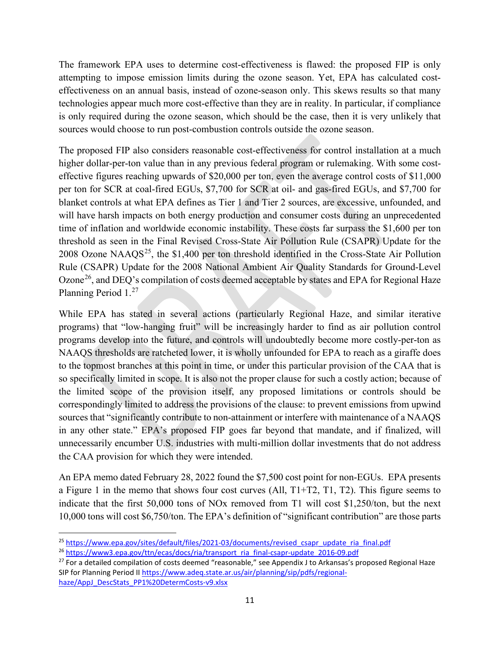The framework EPA uses to determine cost-effectiveness is flawed: the proposed FIP is only attempting to impose emission limits during the ozone season. Yet, EPA has calculated costeffectiveness on an annual basis, instead of ozone-season only. This skews results so that many technologies appear much more cost-effective than they are in reality. In particular, if compliance is only required during the ozone season, which should be the case, then it is very unlikely that sources would choose to run post-combustion controls outside the ozone season.

The proposed FIP also considers reasonable cost-effectiveness for control installation at a much higher dollar-per-ton value than in any previous federal program or rulemaking. With some costeffective figures reaching upwards of \$20,000 per ton, even the average control costs of \$11,000 per ton for SCR at coal-fired EGUs, \$7,700 for SCR at oil- and gas-fired EGUs, and \$7,700 for blanket controls at what EPA defines as Tier 1 and Tier 2 sources, are excessive, unfounded, and will have harsh impacts on both energy production and consumer costs during an unprecedented time of inflation and worldwide economic instability. These costs far surpass the \$1,600 per ton threshold as seen in the Final Revised Cross-State Air Pollution Rule (CSAPR) Update for the 2008 Ozone NAAQS<sup>[25](#page-10-0)</sup>, the \$1,400 per ton threshold identified in the Cross-State Air Pollution Rule (CSAPR) Update for the 2008 National Ambient Air Quality Standards for Ground-Level Ozone<sup>26</sup>, and DEQ's compilation of costs deemed acceptable by states and EPA for Regional Haze Planning Period 1.[27](#page-10-2) 

While EPA has stated in several actions (particularly Regional Haze, and similar iterative programs) that "low-hanging fruit" will be increasingly harder to find as air pollution control programs develop into the future, and controls will undoubtedly become more costly-per-ton as NAAQS thresholds are ratcheted lower, it is wholly unfounded for EPA to reach as a giraffe does to the topmost branches at this point in time, or under this particular provision of the CAA that is so specifically limited in scope. It is also not the proper clause for such a costly action; because of the limited scope of the provision itself, any proposed limitations or controls should be correspondingly limited to address the provisions of the clause: to prevent emissions from upwind sources that "significantly contribute to non-attainment or interfere with maintenance of a NAAQS in any other state." EPA's proposed FIP goes far beyond that mandate, and if finalized, will unnecessarily encumber U.S. industries with multi-million dollar investments that do not address the CAA provision for which they were intended.

An EPA memo dated February 28, 2022 found the \$7,500 cost point for non-EGUs. EPA presents a Figure 1 in the memo that shows four cost curves (All,  $T1+T2$ , T1, T2). This figure seems to indicate that the first 50,000 tons of NOx removed from T1 will cost \$1,250/ton, but the next 10,000 tons will cost \$6,750/ton. The EPA's definition of "significant contribution" are those parts

<span id="page-10-0"></span> $^{25}$  https://www.epa.gov/sites/default/files/2021-03/documents/revised\_csapr\_update\_ria\_final.pdf<br> $^{26}$  https://www3.epa.gov/ttn/ecas/docs/ria/transport\_ria\_final-csapr-update\_2016-09.pdf<br><sup>27</sup> For a detailed compilatio

<span id="page-10-1"></span>

<span id="page-10-2"></span>SIP for Planning Period II [https://www.adeq.state.ar.us/air/planning/sip/pdfs/regional](https://www.adeq.state.ar.us/air/planning/sip/pdfs/regional-haze/AppJ_DescStats_PP1%20DetermCosts-v9.xlsx)haze/AppJ\_DescStats\_PP1%20DetermCosts-v9.xlsx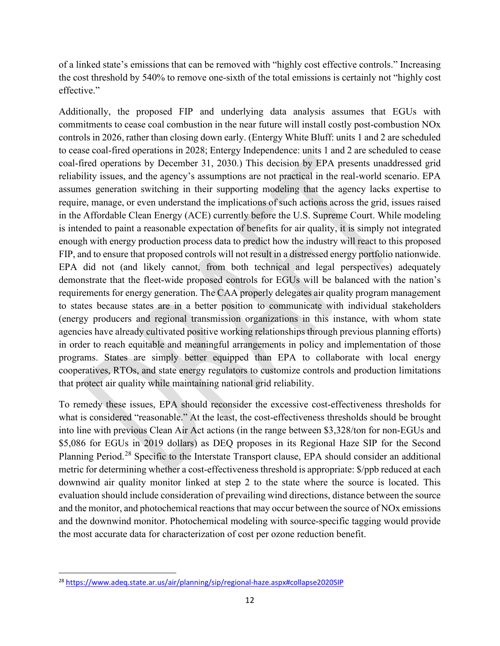of a linked state's emissions that can be removed with "highly cost effective controls." Increasing the cost threshold by 540% to remove one-sixth of the total emissions is certainly not "highly cost effective."

Additionally, the proposed FIP and underlying data analysis assumes that EGUs with commitments to cease coal combustion in the near future will install costly post-combustion NOx controls in 2026, rather than closing down early. (Entergy White Bluff: units 1 and 2 are scheduled to cease coal-fired operations in 2028; Entergy Independence: units 1 and 2 are scheduled to cease coal-fired operations by December 31, 2030.) This decision by EPA presents unaddressed grid reliability issues, and the agency's assumptions are not practical in the real-world scenario. EPA assumes generation switching in their supporting modeling that the agency lacks expertise to require, manage, or even understand the implications of such actions across the grid, issues raised in the Affordable Clean Energy (ACE) currently before the U.S. Supreme Court. While modeling is intended to paint a reasonable expectation of benefits for air quality, it is simply not integrated enough with energy production process data to predict how the industry will react to this proposed FIP, and to ensure that proposed controls will not result in a distressed energy portfolio nationwide. EPA did not (and likely cannot, from both technical and legal perspectives) adequately demonstrate that the fleet-wide proposed controls for EGUs will be balanced with the nation's requirements for energy generation. The CAA properly delegates air quality program management to states because states are in a better position to communicate with individual stakeholders (energy producers and regional transmission organizations in this instance, with whom state agencies have already cultivated positive working relationships through previous planning efforts) in order to reach equitable and meaningful arrangements in policy and implementation of those programs. States are simply better equipped than EPA to collaborate with local energy cooperatives, RTOs, and state energy regulators to customize controls and production limitations that protect air quality while maintaining national grid reliability.

To remedy these issues, EPA should reconsider the excessive cost-effectiveness thresholds for what is considered "reasonable." At the least, the cost-effectiveness thresholds should be brought into line with previous Clean Air Act actions (in the range between \$3,328/ton for non-EGUs and \$5,086 for EGUs in 2019 dollars) as DEQ proposes in its Regional Haze SIP for the Second Planning Period.<sup>[28](#page-11-0)</sup> Specific to the Interstate Transport clause, EPA should consider an additional metric for determining whether a cost-effectiveness threshold is appropriate: \$/ppb reduced at each downwind air quality monitor linked at step 2 to the state where the source is located. This evaluation should include consideration of prevailing wind directions, distance between the source and the monitor, and photochemical reactions that may occur between the source of NOx emissions and the downwind monitor. Photochemical modeling with source-specific tagging would provide the most accurate data for characterization of cost per ozone reduction benefit.

<span id="page-11-0"></span><sup>28</sup> <https://www.adeq.state.ar.us/air/planning/sip/regional-haze.aspx#collapse2020SIP>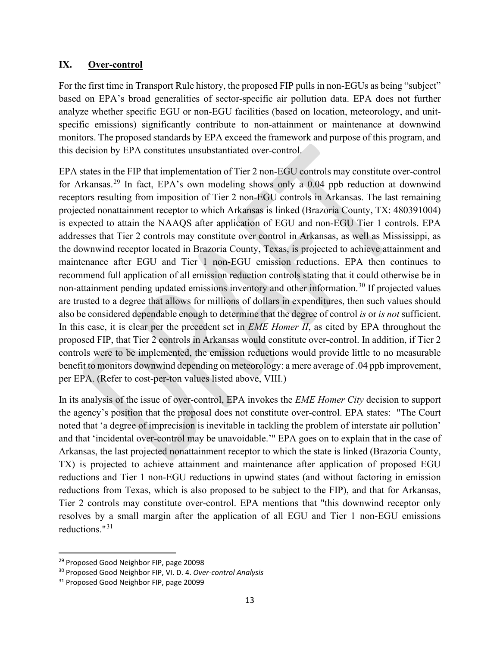#### **IX. Over-control**

For the first time in Transport Rule history, the proposed FIP pulls in non-EGUs as being "subject" based on EPA's broad generalities of sector-specific air pollution data. EPA does not further analyze whether specific EGU or non-EGU facilities (based on location, meteorology, and unitspecific emissions) significantly contribute to non-attainment or maintenance at downwind monitors. The proposed standards by EPA exceed the framework and purpose of this program, and this decision by EPA constitutes unsubstantiated over-control.

EPA states in the FIP that implementation of Tier 2 non-EGU controls may constitute over-control for Arkansas.[29](#page-12-0) In fact, EPA's own modeling shows only a 0.04 ppb reduction at downwind receptors resulting from imposition of Tier 2 non-EGU controls in Arkansas. The last remaining projected nonattainment receptor to which Arkansas is linked (Brazoria County, TX: 480391004) is expected to attain the NAAQS after application of EGU and non-EGU Tier 1 controls. EPA addresses that Tier 2 controls may constitute over control in Arkansas, as well as Mississippi, as the downwind receptor located in Brazoria County, Texas, is projected to achieve attainment and maintenance after EGU and Tier 1 non-EGU emission reductions. EPA then continues to recommend full application of all emission reduction controls stating that it could otherwise be in non-attainment pending updated emissions inventory and other information.<sup>[30](#page-12-1)</sup> If projected values are trusted to a degree that allows for millions of dollars in expenditures, then such values should also be considered dependable enough to determine that the degree of control *is* or *is not* sufficient. In this case, it is clear per the precedent set in *EME Homer II*, as cited by EPA throughout the proposed FIP, that Tier 2 controls in Arkansas would constitute over-control. In addition, if Tier 2 controls were to be implemented, the emission reductions would provide little to no measurable benefit to monitors downwind depending on meteorology: a mere average of .04 ppb improvement, per EPA. (Refer to cost-per-ton values listed above, VIII.)

In its analysis of the issue of over-control, EPA invokes the *EME Homer City* decision to support the agency's position that the proposal does not constitute over-control. EPA states: "The Court noted that 'a degree of imprecision is inevitable in tackling the problem of interstate air pollution' and that 'incidental over-control may be unavoidable.'" EPA goes on to explain that in the case of Arkansas, the last projected nonattainment receptor to which the state is linked (Brazoria County, TX) is projected to achieve attainment and maintenance after application of proposed EGU reductions and Tier 1 non-EGU reductions in upwind states (and without factoring in emission reductions from Texas, which is also proposed to be subject to the FIP), and that for Arkansas, Tier 2 controls may constitute over-control. EPA mentions that "this downwind receptor only resolves by a small margin after the application of all EGU and Tier 1 non-EGU emissions reductions."[31](#page-12-2) 

<span id="page-12-0"></span><sup>&</sup>lt;sup>29</sup> Proposed Good Neighbor FIP, page 20098

<span id="page-12-1"></span><sup>30</sup> Proposed Good Neighbor FIP, VI. D. 4. *Over-control Analysis*

<span id="page-12-2"></span><sup>&</sup>lt;sup>31</sup> Proposed Good Neighbor FIP, page 20099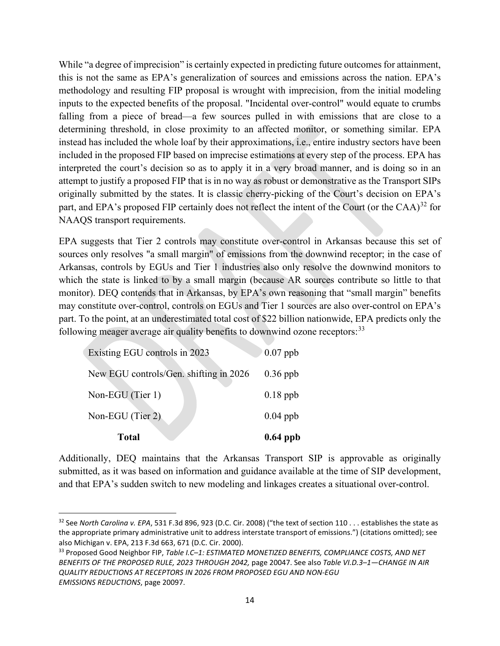While "a degree of imprecision" is certainly expected in predicting future outcomes for attainment, this is not the same as EPA's generalization of sources and emissions across the nation. EPA's methodology and resulting FIP proposal is wrought with imprecision, from the initial modeling inputs to the expected benefits of the proposal. "Incidental over-control" would equate to crumbs falling from a piece of bread—a few sources pulled in with emissions that are close to a determining threshold, in close proximity to an affected monitor, or something similar. EPA instead has included the whole loaf by their approximations, i.e., entire industry sectors have been included in the proposed FIP based on imprecise estimations at every step of the process. EPA has interpreted the court's decision so as to apply it in a very broad manner, and is doing so in an attempt to justify a proposed FIP that is in no way as robust or demonstrative as the Transport SIPs originally submitted by the states. It is classic cherry-picking of the Court's decision on EPA's part, and EPA's proposed FIP certainly does not reflect the intent of the Court (or the CAA)<sup>[32](#page-13-0)</sup> for NAAQS transport requirements.

EPA suggests that Tier 2 controls may constitute over-control in Arkansas because this set of sources only resolves "a small margin" of emissions from the downwind receptor; in the case of Arkansas, controls by EGUs and Tier 1 industries also only resolve the downwind monitors to which the state is linked to by a small margin (because AR sources contribute so little to that monitor). DEQ contends that in Arkansas, by EPA's own reasoning that "small margin" benefits may constitute over-control, controls on EGUs and Tier 1 sources are also over-control on EPA's part. To the point, at an underestimated total cost of \$22 billion nationwide, EPA predicts only the following meager average air quality benefits to downwind ozone receptors:<sup>[33](#page-13-1)</sup>

| <b>Total</b>                           | $0.64$ ppb |
|----------------------------------------|------------|
| Non-EGU (Tier 2)                       | $0.04$ ppb |
| Non-EGU (Tier 1)                       | $0.18$ ppb |
| New EGU controls/Gen. shifting in 2026 | $0.36$ ppb |
| Existing EGU controls in 2023          | $0.07$ ppb |

Additionally, DEQ maintains that the Arkansas Transport SIP is approvable as originally submitted, as it was based on information and guidance available at the time of SIP development, and that EPA's sudden switch to new modeling and linkages creates a situational over-control.

<span id="page-13-0"></span><sup>32</sup> See *North Carolina v. EPA*, 531 F.3d 896, 923 (D.C. Cir. 2008) ("the text of section 110 . . . establishes the state as the appropriate primary administrative unit to address interstate transport of emissions.") (citations omitted); see also Michigan v. EPA, 213 F.3d 663, 671 (D.C. Cir. 2000).

<span id="page-13-1"></span><sup>33</sup> Proposed Good Neighbor FIP, *Table I.C–1: ESTIMATED MONETIZED BENEFITS, COMPLIANCE COSTS, AND NET BENEFITS OF THE PROPOSED RULE, 2023 THROUGH 2042,* page 20047. See also *Table VI.D.3–1—CHANGE IN AIR QUALITY REDUCTIONS AT RECEPTORS IN 2026 FROM PROPOSED EGU AND NON-EGU EMISSIONS REDUCTIONS*, page 20097.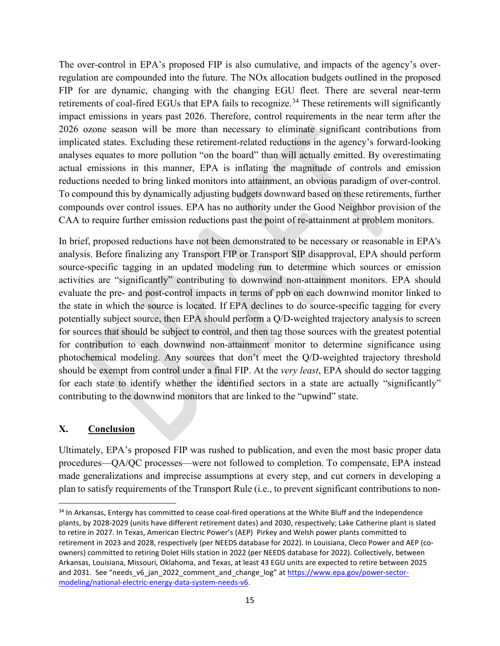The over-control in EPA's proposed FIP is also cumulative, and impacts of the agency's overregulation are compounded into the future. The NOx allocation budgets outlined in the proposed FIP for are dynamic, changing with the changing EGU fleet. There are several near-term retirements of coal-fired EGUs that EPA fails to recognize.<sup>[34](#page-14-0)</sup> These retirements will significantly impact emissions in years past 2026. Therefore, control requirements in the near term after the 2026 ozone season will be more than necessary to eliminate significant contributions from implicated states. Excluding these retirement-related reductions in the agency's forward-looking analyses equates to more pollution "on the board" than will actually emitted. By overestimating actual emissions in this manner, EPA is inflating the magnitude of controls and emission reductions needed to bring linked monitors into attainment, an obvious paradigm of over-control. To compound this by dynamically adjusting budgets downward based on these retirements, further compounds over control issues. EPA has no authority under the Good Neighbor provision of the CAA to require further emission reductions past the point of re-attainment at problem monitors.

In brief, proposed reductions have not been demonstrated to be necessary or reasonable in EPA's analysis. Before finalizing any Transport FIP or Transport SIP disapproval, EPA should perform source-specific tagging in an updated modeling run to determine which sources or emission activities are "significantly" contributing to downwind non-attainment monitors. EPA should evaluate the pre- and post-control impacts in terms of ppb on each downwind monitor linked to the state in which the source is located. If EPA declines to do source-specific tagging for every potentially subject source, then EPA should perform a Q/D-weighted trajectory analysis to screen for sources that should be subject to control, and then tag those sources with the greatest potential for contribution to each downwind non-attainment monitor to determine significance using photochemical modeling. Any sources that don't meet the Q/D-weighted trajectory threshold should be exempt from control under a final FIP. At the *very least*, EPA should do sector tagging for each state to identify whether the identified sectors in a state are actually "significantly" contributing to the downwind monitors that are linked to the "upwind" state.

### **X. Conclusion**

Ultimately, EPA's proposed FIP was rushed to publication, and even the most basic proper data procedures—QA/QC processes—were not followed to completion. To compensate, EPA instead made generalizations and imprecise assumptions at every step, and cut corners in developing a plan to satisfy requirements of the Transport Rule (i.e., to prevent significant contributions to non-

<span id="page-14-0"></span><sup>&</sup>lt;sup>34</sup> In Arkansas, Entergy has committed to cease coal-fired operations at the White Bluff and the Independence plants, by 2028-2029 (units have different retirement dates) and 2030, respectively; Lake Catherine plant is slated to retire in 2027. In Texas, American Electric Power's (AEP) Pirkey and Welsh power plants committed to retirement in 2023 and 2028, respectively (per NEEDS database for 2022). In Louisiana, Cleco Power and AEP (coowners) committed to retiring Dolet Hills station in 2022 (per NEEDS database for 2022). Collectively, between Arkansas, Louisiana, Missouri, Oklahoma, and Texas, at least 43 EGU units are expected to retire between 2025 and 2031. See "needs v6 jan 2022 comment and change log" at https://www.epa.gov/power-sectormodeling/national-electric-energy-data-system-needs-v6.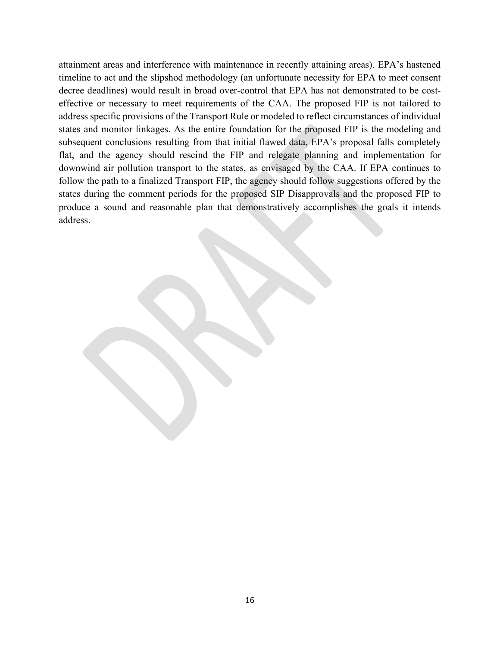attainment areas and interference with maintenance in recently attaining areas). EPA's hastened timeline to act and the slipshod methodology (an unfortunate necessity for EPA to meet consent decree deadlines) would result in broad over-control that EPA has not demonstrated to be costeffective or necessary to meet requirements of the CAA. The proposed FIP is not tailored to address specific provisions of the Transport Rule or modeled to reflect circumstances of individual states and monitor linkages. As the entire foundation for the proposed FIP is the modeling and subsequent conclusions resulting from that initial flawed data, EPA's proposal falls completely flat, and the agency should rescind the FIP and relegate planning and implementation for downwind air pollution transport to the states, as envisaged by the CAA. If EPA continues to follow the path to a finalized Transport FIP, the agency should follow suggestions offered by the states during the comment periods for the proposed SIP Disapprovals and the proposed FIP to produce a sound and reasonable plan that demonstratively accomplishes the goals it intends address.